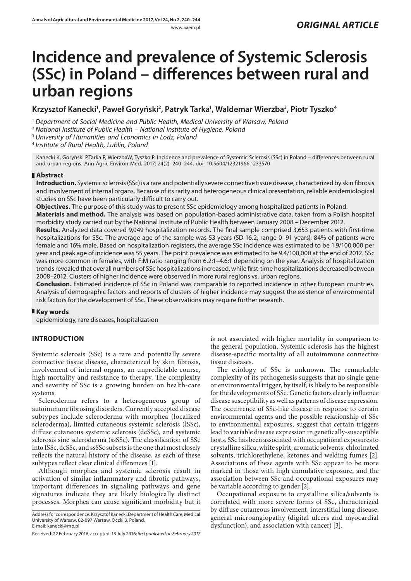# **Incidence and prevalence of Systemic Sclerosis (SSc) in Poland – differences between rural and urban regions**

# **Krzysztof Kanecki1 , Paweł Goryński2 , Patryk Tarka1 , Waldemar Wierzba3 , Piotr Tyszko4**

<sup>1</sup> *Department of Social Medicine and Public Health, Medical University of Warsaw, Poland*

<sup>2</sup> *National Institute of Public Health – National Institute of Hygiene, Poland*

<sup>3</sup> *University of Humanities and Economics in Lodz, Poland*

<sup>4</sup> *Institute of Rural Health, Lublin, Poland*

Kanecki K, Goryński P,Tarka P, WierzbaW, Tyszko P. Incidence and prevalence of Systemic Sclerosis (SSc) in Poland – differences between rural and urban regions. Ann Agric Environ Med. 2017; 24(2): 240–244. doi: 10.5604/12321966.1233570

## **Abstract**

**Introduction.** Systemic sclerosis (SSc) is a rare and potentially severe connective tissue disease, characterized by skin fibrosis and involvement of internal organs. Because of its rarity and heterogeneous clinical presentation, reliable epidemiological studies on SSc have been particularly difficult to carry out.

**Objectives.** The purpose of this study was to present SSc epidemiology among hospitalized patients in Poland.

**Materials and method.** The analysis was based on population-based administrative data, taken from a Polish hospital morbidity study carried out by the National Institute of Public Health between January 2008 – December 2012.

**Results.** Analyzed data covered 9,049 hospitalization records. The final sample comprised 3,653 patients with first-time hospitalizations for SSc. The average age of the sample was 53 years (SD 16.2; range 0–91 years); 84% of patients were female and 16% male. Based on hospitalization registers, the average SSc incidence was estimated to be 1.9/100,000 per year and peak age of incidence was 55 years. The point prevalence was estimated to be 9.4/100,000 at the end of 2012. SSc was more common in females, with F:M ratio ranging from 6.2:1–4.6:1 depending on the year. Analysis of hospitalization trends revealed that overall numbers of SSc hospitalizations increased, while first-time hospitalizations decreased between 2008–2012. Clusters of higher incidence were observed in more rural regions vs. urban regions.

**Conclusion.** Estimated incidence of SSc in Poland was comparable to reported incidence in other European countries. Analysis of demographic factors and reports of clusters of higher incidence may suggest the existence of environmental risk factors for the development of SSc. These observations may require further research.

## **Key words**

epidemiology, rare diseases, hospitalization

# **INTRODUCTION**

Systemic sclerosis (SSc) is a rare and potentially severe connective tissue disease, characterized by skin fibrosis, involvement of internal organs, an unpredictable course, high mortality and resistance to therapy. The complexity and severity of SSc is a growing burden on health-care systems.

Scleroderma refers to a heterogeneous group of autoimmune fibrosing disorders. Currently accepted disease subtypes include scleroderma with morphea (localized scleroderma), limited cutaneous systemic sclerosis (lSSc), diffuse cutaneous systemic sclerosis (dcSSc), and systemic sclerosis sine scleroderma (ssSSc). The classification of SSc into ISSc, dcSSc, and ssSSc subsets is the one that most closely reflects the natural history of the disease, as each of these subtypes reflect clear clinical differences [1].

Although morphea and systemic sclerosis result in activation of similar inflammatory and fibrotic pathways, important differences in signaling pathways and gene signatures indicate they are likely biologically distinct processes. Morphea can cause significant morbidity but it

is not associated with higher mortality in comparison to the general population. Systemic sclerosis has the highest disease-specific mortality of all autoimmune connective tissue diseases.

The etiology of SSc is unknown. The remarkable complexity of its pathogenesis suggests that no single gene or environmental trigger, by itself, is likely to be responsible for the developments of SSc. Genetic factors clearly influence disease susceptibility as well as patterns of disease expression. The occurrence of SSc-like disease in response to certain environmental agents and the possible relationship of SSc to environmental exposures, suggest that certain triggers lead to variable disease expression in genetically-susceptible hosts. SSc has been associated with occupational exposures to crystalline silica, white spirit, aromatic solvents, chlorinated solvents, trichlorethylene, ketones and welding fumes [2]. Associations of these agents with SSc appear to be more marked in those with high cumulative exposure, and the association between SSc and occupational exposures may be variable according to gender [2].

Occupational exposure to crystalline silica/solvents is correlated with more severe forms of SSc, characterized by diffuse cutaneous involvement, interstitial lung disease, general microangiopathy (digital ulcers and myocardial dysfunction), and association with cancer) [3].

Address for correspondence: Krzysztof Kanecki,Department of Health Care, Medical University of Warsaw, 02-097 Warsaw, Oczki 3, Poland. E-mail: kanecki@mp.pl

Received: 22 February 2016; accepted: 13 July 2016; *first published on February 2017*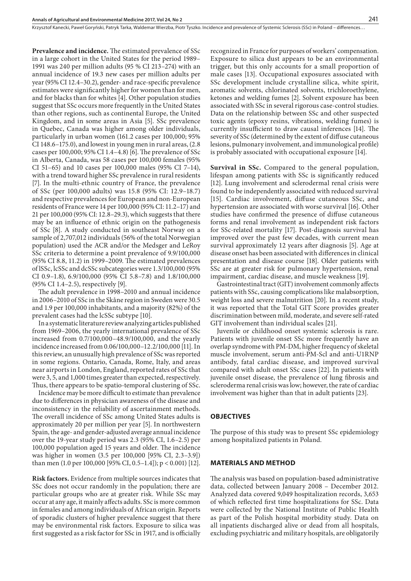**Prevalence and incidence.** The estimated prevalence of SSc in a large cohort in the United States for the period 1989– 1991 was 240 per million adults (95 % CI 213–274) with an annual incidence of 19.3 new cases per million adults per year (95% CI 12.4–30.2), gender- and race-specific prevalence estimates were significantly higher for women than for men, and for blacks than for whites [4]. Other population studies suggest that SSc occurs more frequently in the United States than other regions, such as continental Europe, the United Kingdom, and in some areas in Asia [5]. SSc prevalence in Quebec, Canada was higher among older individuals, particularly in urban women (161.2 cases per 100,000; 95% CI 148.6–175.0), and lowest in young men in rural areas, (2.8 cases per 100,000; 95% CI 1.4–4.8) [6]. The prevalence of SSc in Alberta, Canada, was 58 cases per 100,000 females (95% CI 51–65) and 10 cases per 100,000 males (95% CI 7–14), with a trend toward higher SSc prevalence in rural residents [7]. In the multi-ethnic country of France, the prevalence of SSc (per 100,000 adults) was 15.8 (95% CI: 12.9–18.7) and respective prevalences for European and non-European residents of France were 14 per 100,000 (95% CI: 11.2–17) and 21 per 100,000 (95% CI: 12.8–29.3), which suggests that there may be an influence of ethnic origin on the pathogenesis of SSc [8]. A study conducted in southeast Norway on a sample of 2,707,012 individuals (56% of the total Norwegian population) used the ACR and/or the Medsger and LeRoy SSc criteria to determine a point prevalence of 9.9/100,000 (95% CI 8.8, 11.2) in 1999–2009. The estimated prevalences of lSSc, lcSSc and dcSSc subcategories were 1.3/100,000 (95% CI 0.9–1.8), 6.9/100,000 (95% CI 5.8–7.8) and 1.8/100,000 (95% CI 1.4–2.5), respectively [9].

The adult prevalence in 1998–2010 and annual incidence in 2006–2010 of SSc in the Skåne region in Sweden were 30.5 and 1.9 per 100,000 inhabitants, and a majority (82%) of the prevalent cases had the lcSSc subtype [10].

In a systematic literature review analyzing articles published from 1969–2006, the yearly international prevalence of SSc increased from 0.7/100,000–48.9/100,000, and the yearly incidence increased from 0.06/100,000–12.2/100,000 [11]. In this review, an unusually high prevalence of SSc was reported in some regions. Ontario, Canada, Rome, Italy, and areas near airports in London, England, reported rates of SSc that were 3, 5, and 1,000 times greater than expected, respectively. Thus, there appears to be spatio-temporal clustering of SSc.

Incidence may be more difficult to estimate than prevalence due to differences in physician awareness of the disease and inconsistency in the reliability of ascertainment methods. The overall incidence of SSc among United States adults is approximately 20 per million per year [5]. In northwestern Spain, the age- and gender-adjusted average annual incidence over the 19-year study period was 2.3 (95% CI, 1.6–2.5) per 100,000 population aged 15 years and older. The incidence was higher in women (3.5 per 100,000 [95% CI, 2.3–3.9]) than men (1.0 per 100,000 [95% CI, 0.5–1.4]); p < 0.001) [12].

**Risk factors.** Evidence from multiple sources indicates that SSc does not occur randomly in the population; there are particular groups who are at greater risk. While SSc may occur at any age, it mainly affects adults. SSc is more common in females and among individuals of African origin. Reports of sporadic clusters of higher prevalence suggest that there may be environmental risk factors. Exposure to silica was first suggested as a risk factor for SSc in 1917, and is officially recognized in France for purposes of workers' compensation. Exposure to silica dust appears to be an environmental trigger, but this only accounts for a small proportion of male cases [13]. Occupational exposures associated with SSc development include crystalline silica, white spirit, aromatic solvents, chlorinated solvents, trichloroethylene, ketones and welding fumes [2]. Solvent exposure has been associated with SSc in several rigorous case-control studies. Data on the relationship between SSc and other suspected toxic agents (epoxy resins, vibrations, welding fumes) is currently insufficient to draw causal inferences [14]. The severity of SSc (determined by the extent of diffuse cutaneous lesions, pulmonary involvement, and immunological profile) is probably associated with occupational exposure [14].

**Survival in SSc.** Compared to the general population, lifespan among patients with SSc is significantly reduced [12]. Lung involvement and sclerodermal renal crisis were found to be independently associated with reduced survival [15]. Cardiac involvement, diffuse cutaneous SSc, and hypertension are associated with worse survival [16]. Other studies have confirmed the presence of diffuse cutaneous forms and renal involvement as independent risk factors for SSc-related mortality [17]. Post-diagnosis survival has improved over the past few decades, with current mean survival approximately 12 years after diagnosis [5]. Age at disease onset has been associated with differences in clinical presentation and disease course [18]. Older patients with SSc are at greater risk for pulmonary hypertension, renal impairment, cardiac disease, and muscle weakness [19].

Gastrointestinal tract (GIT) involvement commonly affects patients with SSc, causing complications like malabsorption, weight loss and severe malnutrition [20]. In a recent study, it was reported that the Total GIT Score provides greater discrimination between mild, moderate, and severe self-rated GIT involvement than individual scales [21].

Juvenile or childhood onset systemic sclerosis is rare. Patients with juvenile onset SSc more frequently have an overlap syndrome with PM-DM, higher frequency of skeletal muscle involvement, serum anti-PM-Scl and anti-U1RNP antibody, fatal cardiac disease, and improved survival compared with adult onset SSc cases [22]. In patients with juvenile onset disease, the prevalence of lung fibrosis and scleroderma renal crisis was low; however, the rate of cardiac involvement was higher than that in adult patients [23].

### **OBJECTIVES**

The purpose of this study was to present SSc epidemiology among hospitalized patients in Poland.

#### **MATERIALS AND METHOD**

The analysis was based on population-based administrative data, collected between January 2008 – December 2012. Analyzed data covered 9,049 hospitalization records, 3,653 of which reflected first time hospitalizations for SSc. Data were collected by the National Institute of Public Health as part of the Polish hospital morbidity study. Data on all inpatients discharged alive or dead from all hospitals, excluding psychiatric and military hospitals, are obligatorily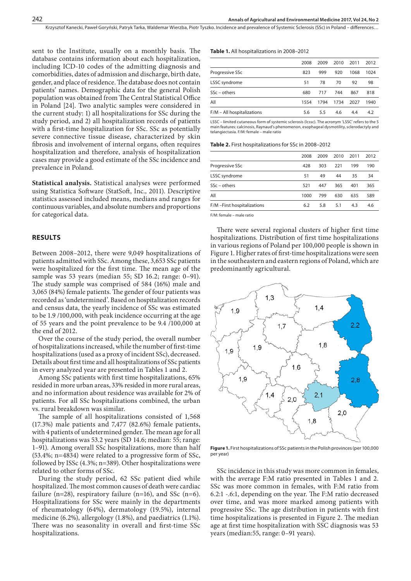sent to the Institute, usually on a monthly basis. The database contains information about each hospitalization, including ICD-10 codes of the admitting diagnosis and comorbidities, dates of admission and discharge, birth date, gender, and place of residence. The database does not contain patients' names. Demographic data for the general Polish population was obtained from The Central Statistical Office in Poland [24]. Two analytic samples were considered in the current study: 1) all hospitalizations for SSc during the study period, and 2) all hospitalization records of patients with a first-time hospitalization for SSc. SSc as potentially severe connective tissue disease, characterized by skin fibrosis and involvement of internal organs, often requires hospitalization and therefore, analysis of hospitalization cases may provide a good estimate of the SSc incidence and prevalence in Poland.

**Statistical analysis.** Statistical analyses were performed using Statistica Software (StatSoft, Inc., 2011). Descriptive statistics assessed included means, medians and ranges for continuous variables, and absolute numbers and proportions for categorical data.

#### **RESULTS**

Between 2008–2012, there were 9,049 hospitalizations of patients admitted with SSc. Among these, 3,653 SSc patients were hospitalized for the first time. The mean age of the sample was 53 years (median 55; SD 16.2; range: 0–91). The study sample was comprised of 584 (16%) male and 3,065 (84%) female patients. The gender of four patients was recorded as 'undetermined'. Based on hospitalization records and census data, the yearly incidence of SSc was estimated to be 1.9 /100,000, with peak incidence occurring at the age of 55 years and the point prevalence to be 9.4 /100,000 at the end of 2012.

Over the course of the study period, the overall number of hospitalizations increased, while the number of first-time hospitalizations (used as a proxy of incident SSc), decreased. Details about first time and all hospitalizations of SSc patients in every analyzed year are presented in Tables 1 and 2.

Among SSc patients with first time hospitalizations, 65% resided in more urban areas, 33% resided in more rural areas, and no information about residence was available for 2% of patients. For all SSc hospitalizations combined, the urban vs. rural breakdown was similar.

The sample of all hospitalizations consisted of 1,568 (17.3%) male patients and 7,477 (82.6%) female patients, with 4 patients of undetermined gender. The mean age for all hospitalizations was 53.2 years (SD 14.6; median: 55; range: 1–91). Among overall SSc hospitalizations, more than half (53.4%; n=4834) were related to a progressive form of SSc, followed by ISSc (4.3%; n=389). Other hospitalizations were related to other forms of SSc.

During the study period, 62 SSc patient died while hospitalized. The most common causes of death were cardiac failure (n=28), respiratory failure (n=16), and SSc (n=6). Hospitalizations for SSc were mainly in the departments of rheumatology (64%), dermatology (19.5%), internal medicine (6.2%), allergology (1.8%), and paediatrics (1.1%). There was no seasonality in overall and first-time SSc hospitalizations.

#### **Table 1.** All hospitalizations in 2008–2012

|                              | 2008 | 2009 | 2010 | 2011 | 2012 |
|------------------------------|------|------|------|------|------|
| Progressive SSc              | 823  | 999  | 920  | 1068 | 1024 |
| LSSC syndrome                | 51   | 78   | 70   | 92   | 98   |
| $SSc - others$               | 680  | 717  | 744  | 867  | 818  |
| All                          | 1554 | 1794 | 1734 | 2027 | 1940 |
| $F/M - All$ hospitalizations | 5.6  | 5.5  | 4.6  | 4.4  | 4.2  |
|                              |      |      |      |      |      |

LSSC – limited cutaneous form of systemic sclerosis (lcssc). The acronym 'LSSC' refers to the 5 main features: calcinosis, Raynaud's phenomenon, esophageal dysmotility, sclerodactyly and telangiectasia. F/M: female – male ratio

**Table 2.** First hospitalizations for SSc in 2008–2012

|                            | 2008 | 2009 | 2010 | 2011 | 2012 |
|----------------------------|------|------|------|------|------|
| Progressive SSc            | 428  | 303  | 221  | 199  | 190  |
| LSSC syndrome              | 51   | 49   | 44   | 35   | 34   |
| $SSc - others$             | 521  | 447  | 365  | 401  | 365  |
| All                        | 1000 | 799  | 630  | 635  | 589  |
| F/M-First hospitalizations | 6.2  | 5.8  | 5.1  | 4.3  | 4.6  |
| $-1$ $-1$ $-1$ $-1$        |      |      |      |      |      |

F/M: female – male ratio

There were several regional clusters of higher first time hospitalizations. Distribution of first time hospitalizations in various regions of Poland per 100,000 people is shown in Figure 1. Higher rates of first-time hospitalizations were seen in the southeastern and eastern regions of Poland, which are predominantly agricultural.



**Figure 1.** First hospitalizations of SSc patients in the Polish provinces (per 100,000 per year)

SSc incidence in this study was more common in females, with the average F:M ratio presented in Tables 1 and 2. SSc was more common in females, with F:M ratio from 6.2:1 -.6:1, depending on the year. The F:M ratio decreased over time, and was more marked among patients with progressive SSc. The age distribution in patients with first time hospitalizations is presented in Figure 2. The median age at first time hospitalization with SSC diagnosis was 53 years (median:55, range: 0–91 years).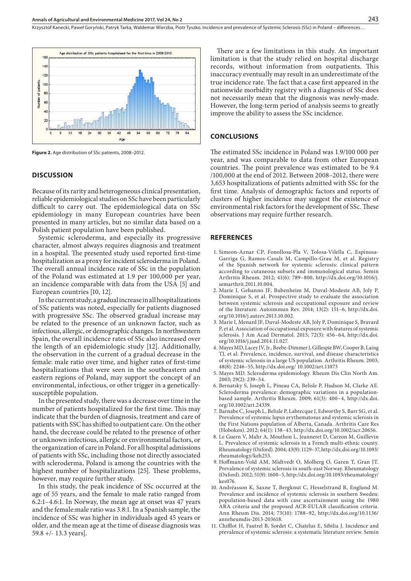Krzysztof Kanecki, Paweł Goryński, Patryk Tarka, Waldemar Wierzba, Piotr Tyszko . Incidence and prevalence of Systemic Sclerosis (SSc) in Poland – differences…



**Figure 2.** Age distribution of SSc patients, 2008–2012.

#### **DISCUSSION**

Because of its rarity and heterogeneous clinical presentation, reliable epidemiological studies on SSc have been particularly difficult to carry out. The epidemiological data on SSc epidemiology in many European countries have been presented in many articles, but no similar data based on a Polish patient population have been published.

Systemic scleroderma, and especially its progressive character, almost always requires diagnosis and treatment in a hospital. The presented study used reported first-time hospitalization as a proxy for incident scleroderma in Poland. The overall annual incidence rate of SSc in the population of the Poland was estimated at 1.9 per 100,000 per year, an incidence comparable with data from the USA [5] and European countries [10, 12].

In the current study, a gradual increase in all hospitalizations of SSc patients was noted, especially for patients diagnosed with progressive SSc. The observed gradual increase may be related to the presence of an unknown factor, such as infectious, allergic, or demographic changes. In northwestern Spain, the overall incidence rates of SSc also increased over the length of an epidemiologic study [12]. Additionally, the observation in the current of a gradual decrease in the female: male ratio over time, and higher rates of first-time hospitalizations that were seen in the southeastern and eastern regions of Poland, may support the concept of an environmental, infectious, or other trigger in a geneticallysusceptible population.

In the presented study, there was a decrease over time in the number of patients hospitalized for the first time. This may indicate that the burden of diagnosis, treatment and care of patients with SSC has shifted to outpatient care. On the other hand, the decrease could be related to the presence of other or unknown infectious, allergic or environmental factors, or the organization of care in Poland. For all hospital admissions of patients with SSc, including those not directly associated with scleroderma, Poland is among the countries with the highest number of hospitalizations [25]. These problems, however, may require further study.

In this study, the peak incidence of SSc occurred at the age of 55 years, and the female to male ratio ranged from 6.2:1–4.6:1. In Norway, the mean age at onset was 47 years and the female:male ratio was 3.8:1. In a Spanish sample, the incidence of SSc was higher in individuals aged 45 years or older, and the mean age at the time of disease diagnosis was 59.8 +/- 13.3 years].

There are a few limitations in this study. An important limitation is that the study relied on hospital discharge records, without information from outpatients. This inaccuracy eventually may result in an underestimate of the true incidence rate. The fact that a case first appeared in the nationwide morbidity registry with a diagnosis of SSc does not necessarily mean that the diagnosis was newly-made. However, the long-term period of analysis seems to greatly improve the ability to assess the SSc incidence.

#### **CONCLUSIONS**

The estimated SSc incidence in Poland was 1.9/100 000 per year, and was comparable to data from other European countries. The point prevalence was estimated to be 9.4 /100,000 at the end of 2012. Between 2008–2012, there were 3,653 hospitalizations of patients admitted with SSc for the first time. Analysis of demographic factors and reports of clusters of higher incidence may suggest the existence of environmental risk factors for the development of SSc. These observations may require further research.

#### **REFERENCES**

- 1. Simeon-Aznar CP, Fonollosa-Pla V, Tolosa-Vilella C, Espinosa-Garriga G, Ramos-Casals M, Campillo-Grau M, et al. Registry of the Spanish network for systemic sclerosis: clinical pattern according to cutaneous subsets and immunological status. Semin Arthritis Rheum. 2012; 41(6): 789–800, http://dx.doi.org/10.1016/j. semarthrit.2011.10.004.
- 2. Marie I, Gehanno JF, Bubenheim M, Duval-Modeste AB, Joly P, Dominique S, et al. Prospective study to evaluate the association between systemic sclerosis and occupational exposure and review of the literature. Autoimmun Rev. 2014; 13(2): 151–6, http://dx.doi. org/10.1016/j.autrev.2013.10.002.
- 3. Marie I, Menard JF, Duval-Modeste AB, Joly P, Dominique S, Bravard P, et al. Association of occupational exposure with features of systemic sclerosis. J Am Acad Dermatol. 2015; 72(3): 456–64, http://dx.doi. org/10.1016/j.jaad.2014.11.027.
- 4. Mayes MD, Lacey JV, Jr., Beebe-Dimmer J, Gillespie BW, Cooper B, Laing TJ, et al. Prevalence, incidence, survival, and disease characteristics of systemic sclerosis in a large US population. Arthritis Rheum. 2003; 48(8): 2246–55, http://dx.doi.org/ 10.1002/art.11073
- 5. Mayes MD. Scleroderma epidemiology. Rheum Dis Clin North Am. 2003; 29(2): 239–54.
- 6. Bernatsky S, Joseph L, Pineau CA, Belisle P, Hudson M, Clarke AE. Scleroderma prevalence: demographic variations in a populationbased sample. Arthritis Rheum. 2009; 61(3): 400–4, http://dx.doi. org/10.1002/art.24339.
- 7. Barnabe C, Joseph L, Belisle P, Labrecque J, Edworthy S, Barr SG, et al. Prevalence of systemic lupus erythematosus and systemic sclerosis in the First Nations population of Alberta, Canada. Arthritis Care Res (Hoboken). 2012; 64(1): 138–43, http://dx.doi.org/10.1002/acr.20656.
- 8. Le Guern V, Mahr A, Mouthon L, Jeanneret D, Carzon M, Guillevin L. Prevalence of systemic sclerosis in a French multi-ethnic county. Rheumatology (Oxford). 2004; 43(9): 1129–37, http://dx.doi.org/10.1093/ rheumatology/keh253.
- 9. Hoffmann-Vold AM, Midtvedt O, Molberg O, Garen T, Gran JT. Prevalence of systemic sclerosis in south-east Norway. Rheumatology (Oxford). 2012; 51(9): 1600–5, http://dx.doi.org/10.1093/rheumatology/ kes076.
- 10. Andréasson K, Saxne T, Bergknut C, Hesselstrand R, Englund M. Prevalence and incidence of systemic sclerosis in southern Sweden: population-based data with case ascertainment using the 1980 ARA criteria and the proposed ACR-EULAR classification criteria. Ann Rheum Dis. 2014; 73(10): 1788–92, http://dx.doi.org/10.1136/ annrheumdis-2013-203618.
- 11. Chifflot H, Fautrel B, Sordet C, Chatelus E, Sibilia J. Incidence and prevalence of systemic sclerosis: a systematic literature review. Semin